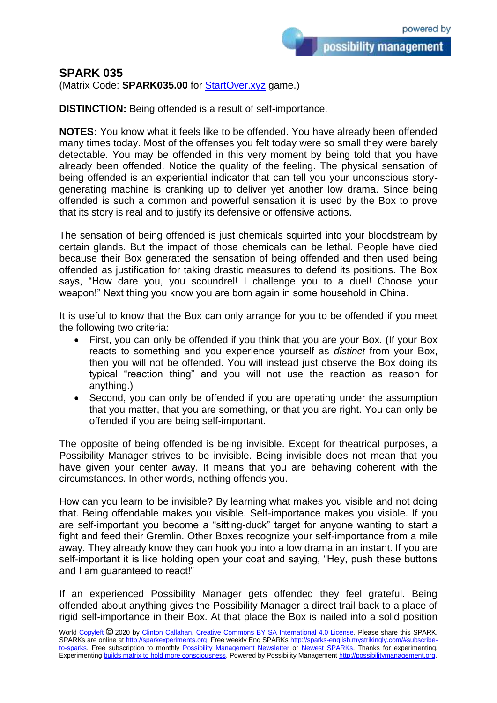## **SPARK 035**

(Matrix Code: **SPARK035.00** for [StartOver.xyz](https://startoverxyz.mystrikingly.com/) game.)

**DISTINCTION:** Being offended is a result of self-importance.

**NOTES:** You know what it feels like to be offended. You have already been offended many times today. Most of the offenses you felt today were so small they were barely detectable. You may be offended in this very moment by being told that you have already been offended. Notice the quality of the feeling. The physical sensation of being offended is an experiential indicator that can tell you your unconscious storygenerating machine is cranking up to deliver yet another low drama. Since being offended is such a common and powerful sensation it is used by the Box to prove that its story is real and to justify its defensive or offensive actions.

The sensation of being offended is just chemicals squirted into your bloodstream by certain glands. But the impact of those chemicals can be lethal. People have died because their Box generated the sensation of being offended and then used being offended as justification for taking drastic measures to defend its positions. The Box says, "How dare you, you scoundrel! I challenge you to a duel! Choose your weapon!" Next thing you know you are born again in some household in China.

It is useful to know that the Box can only arrange for you to be offended if you meet the following two criteria:

- First, you can only be offended if you think that you are your Box. (If your Box reacts to something and you experience yourself as *distinct* from your Box, then you will not be offended. You will instead just observe the Box doing its typical "reaction thing" and you will not use the reaction as reason for anything.)
- Second, you can only be offended if you are operating under the assumption that you matter, that you are something, or that you are right. You can only be offended if you are being self-important.

The opposite of being offended is being invisible. Except for theatrical purposes, a Possibility Manager strives to be invisible. Being invisible does not mean that you have given your center away. It means that you are behaving coherent with the circumstances. In other words, nothing offends you.

How can you learn to be invisible? By learning what makes you visible and not doing that. Being offendable makes you visible. Self-importance makes you visible. If you are self-important you become a "sitting-duck" target for anyone wanting to start a fight and feed their Gremlin. Other Boxes recognize your self-importance from a mile away. They already know they can hook you into a low drama in an instant. If you are self-important it is like holding open your coat and saying, "Hey, push these buttons and I am guaranteed to react!"

If an experienced Possibility Manager gets offended they feel grateful. Being offended about anything gives the Possibility Manager a direct trail back to a place of rigid self-importance in their Box. At that place the Box is nailed into a solid position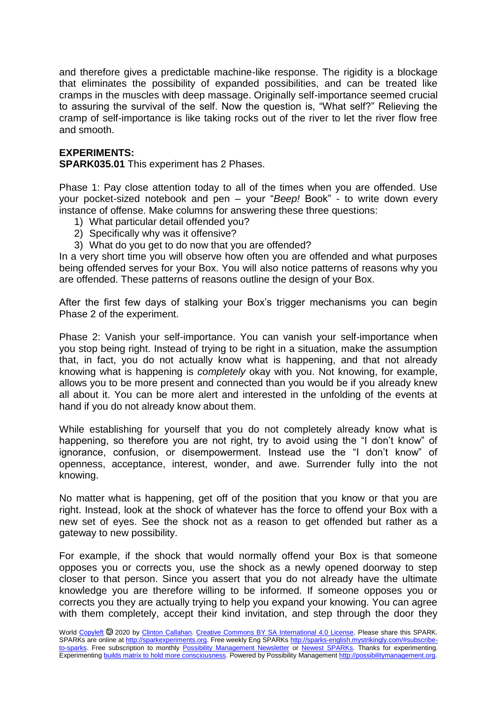and therefore gives a predictable machine-like response. The rigidity is a blockage that eliminates the possibility of expanded possibilities, and can be treated like cramps in the muscles with deep massage. Originally self-importance seemed crucial to assuring the survival of the self. Now the question is, "What self?" Relieving the cramp of self-importance is like taking rocks out of the river to let the river flow free and smooth.

## **EXPERIMENTS:**

**SPARK035.01** This experiment has 2 Phases.

Phase 1: Pay close attention today to all of the times when you are offended. Use your pocket-sized notebook and pen – your "*Beep!* Book" - to write down every instance of offense. Make columns for answering these three questions:

- 1) What particular detail offended you?
- 2) Specifically why was it offensive?
- 3) What do you get to do now that you are offended?

In a very short time you will observe how often you are offended and what purposes being offended serves for your Box. You will also notice patterns of reasons why you are offended. These patterns of reasons outline the design of your Box.

After the first few days of stalking your Box's trigger mechanisms you can begin Phase 2 of the experiment.

Phase 2: Vanish your self-importance. You can vanish your self-importance when you stop being right. Instead of trying to be right in a situation, make the assumption that, in fact, you do not actually know what is happening, and that not already knowing what is happening is *completely* okay with you. Not knowing, for example, allows you to be more present and connected than you would be if you already knew all about it. You can be more alert and interested in the unfolding of the events at hand if you do not already know about them.

While establishing for yourself that you do not completely already know what is happening, so therefore you are not right, try to avoid using the "I don't know" of ignorance, confusion, or disempowerment. Instead use the "I don't know" of openness, acceptance, interest, wonder, and awe. Surrender fully into the not knowing.

No matter what is happening, get off of the position that you know or that you are right. Instead, look at the shock of whatever has the force to offend your Box with a new set of eyes. See the shock not as a reason to get offended but rather as a gateway to new possibility.

For example, if the shock that would normally offend your Box is that someone opposes you or corrects you, use the shock as a newly opened doorway to step closer to that person. Since you assert that you do not already have the ultimate knowledge you are therefore willing to be informed. If someone opposes you or corrects you they are actually trying to help you expand your knowing. You can agree with them completely, accept their kind invitation, and step through the door they